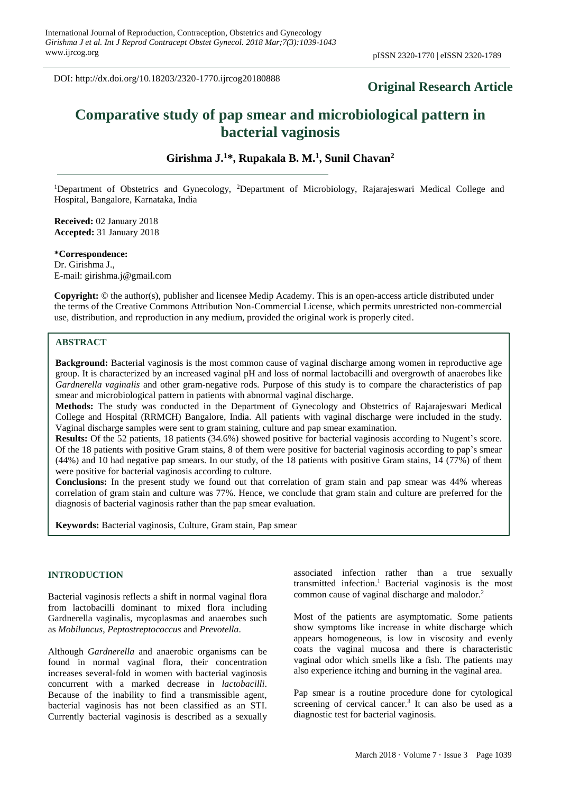DOI: http://dx.doi.org/10.18203/2320-1770.ijrcog20180888

# **Original Research Article**

# **Comparative study of pap smear and microbiological pattern in bacterial vaginosis**

**Girishma J. <sup>1</sup>\*, Rupakala B. M. 1 , Sunil Chavan<sup>2</sup>**

<sup>1</sup>Department of Obstetrics and Gynecology, <sup>2</sup>Department of Microbiology, Rajarajeswari Medical College and Hospital, Bangalore, Karnataka, India

**Received:** 02 January 2018 **Accepted:** 31 January 2018

**\*Correspondence:** Dr. Girishma J., E-mail: girishma.j@gmail.com

**Copyright:** © the author(s), publisher and licensee Medip Academy. This is an open-access article distributed under the terms of the Creative Commons Attribution Non-Commercial License, which permits unrestricted non-commercial use, distribution, and reproduction in any medium, provided the original work is properly cited.

# **ABSTRACT**

**Background:** Bacterial vaginosis is the most common cause of vaginal discharge among women in reproductive age group. It is characterized by an increased vaginal pH and loss of normal lactobacilli and overgrowth of anaerobes like *Gardnerella vaginalis* and other gram-negative rods. Purpose of this study is to compare the characteristics of pap smear and microbiological pattern in patients with abnormal vaginal discharge.

**Methods:** The study was conducted in the Department of Gynecology and Obstetrics of Rajarajeswari Medical College and Hospital (RRMCH) Bangalore, India. All patients with vaginal discharge were included in the study. Vaginal discharge samples were sent to gram staining, culture and pap smear examination.

**Results:** Of the 52 patients, 18 patients (34.6%) showed positive for bacterial vaginosis according to Nugent's score. Of the 18 patients with positive Gram stains, 8 of them were positive for bacterial vaginosis according to pap's smear (44%) and 10 had negative pap smears. In our study, of the 18 patients with positive Gram stains, 14 (77%) of them were positive for bacterial vaginosis according to culture.

**Conclusions:** In the present study we found out that correlation of gram stain and pap smear was 44% whereas correlation of gram stain and culture was 77%. Hence, we conclude that gram stain and culture are preferred for the diagnosis of bacterial vaginosis rather than the pap smear evaluation.

**Keywords:** Bacterial vaginosis, Culture, Gram stain, Pap smear

# **INTRODUCTION**

Bacterial vaginosis reflects a shift in normal vaginal flora from lactobacilli dominant to mixed flora including Gardnerella vaginalis, mycoplasmas and anaerobes such as *Mobiluncus*, *Peptostreptococcus* and *Prevotella*.

Although *Gardnerella* and anaerobic organisms can be found in normal vaginal flora, their concentration increases several-fold in women with bacterial vaginosis concurrent with a marked decrease in *lactobacilli*. Because of the inability to find a transmissible agent, bacterial vaginosis has not been classified as an STI. Currently bacterial vaginosis is described as a sexually associated infection rather than a true sexually transmitted infection.<sup>1</sup> Bacterial vaginosis is the most common cause of vaginal discharge and malodor.<sup>2</sup>

Most of the patients are asymptomatic. Some patients show symptoms like increase in white discharge which appears homogeneous, is low in viscosity and evenly coats the vaginal mucosa and there is characteristic vaginal odor which smells like a fish. The patients may also experience itching and burning in the vaginal area.

Pap smear is a routine procedure done for cytological screening of cervical cancer.<sup>3</sup> It can also be used as a diagnostic test for bacterial vaginosis.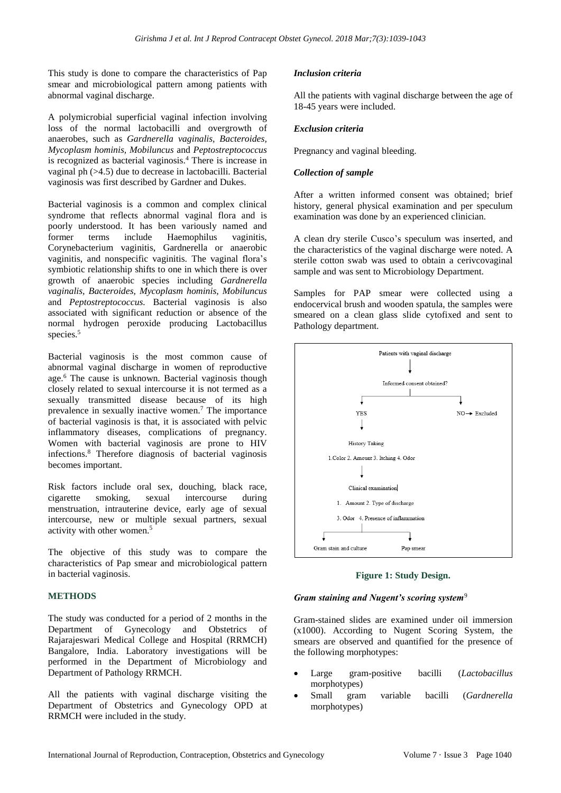This study is done to compare the characteristics of Pap smear and microbiological pattern among patients with abnormal vaginal discharge.

A polymicrobial superficial vaginal infection involving loss of the normal lactobacilli and overgrowth of anaerobes, such as *Gardnerella vaginalis, Bacteroides, Mycoplasm hominis, Mobiluncus* and *Peptostreptococcus* is recognized as bacterial vaginosis.<sup>4</sup> There is increase in vaginal ph (>4.5) due to decrease in lactobacilli. Bacterial vaginosis was first described by Gardner and Dukes.

Bacterial vaginosis is a common and complex clinical syndrome that reflects abnormal vaginal flora and is poorly understood. It has been variously named and former terms include Haemophilus vaginitis, Corynebacterium vaginitis, Gardnerella or anaerobic vaginitis, and nonspecific vaginitis. The vaginal flora's symbiotic relationship shifts to one in which there is over growth of anaerobic species including *Gardnerella vaginalis, Bacteroides, Mycoplasm hominis, Mobiluncus* and *Peptostreptococcus.* Bacterial vaginosis is also associated with significant reduction or absence of the normal hydrogen peroxide producing Lactobacillus species.<sup>5</sup>

Bacterial vaginosis is the most common cause of abnormal vaginal discharge in women of reproductive age.<sup>6</sup> The cause is unknown. Bacterial vaginosis though closely related to sexual intercourse it is not termed as a sexually transmitted disease because of its high prevalence in sexually inactive women.<sup>7</sup> The importance of bacterial vaginosis is that, it is associated with pelvic inflammatory diseases, complications of pregnancy. Women with bacterial vaginosis are prone to HIV infections.<sup>8</sup> Therefore diagnosis of bacterial vaginosis becomes important.

Risk factors include oral sex, douching, black race, cigarette smoking, sexual intercourse during menstruation, intrauterine device, early age of sexual intercourse, new or multiple sexual partners, sexual activity with other women.<sup>5</sup>

The objective of this study was to compare the characteristics of Pap smear and microbiological pattern in bacterial vaginosis.

# **METHODS**

The study was conducted for a period of 2 months in the Department of Gynecology and Obstetrics of Rajarajeswari Medical College and Hospital (RRMCH) Bangalore, India. Laboratory investigations will be performed in the Department of Microbiology and Department of Pathology RRMCH.

All the patients with vaginal discharge visiting the Department of Obstetrics and Gynecology OPD at RRMCH were included in the study.

# *Inclusion criteria*

All the patients with vaginal discharge between the age of 18-45 years were included.

### *Exclusion criteria*

Pregnancy and vaginal bleeding.

# *Collection of sample*

After a written informed consent was obtained; brief history, general physical examination and per speculum examination was done by an experienced clinician.

A clean dry sterile Cusco's speculum was inserted, and the characteristics of the vaginal discharge were noted. A sterile cotton swab was used to obtain a cerivcovaginal sample and was sent to Microbiology Department.

Samples for PAP smear were collected using a endocervical brush and wooden spatula, the samples were smeared on a clean glass slide cytofixed and sent to Pathology department.



**Figure 1: Study Design.**

#### *Gram staining and Nugent's scoring system*<sup>9</sup>

Gram-stained slides are examined under oil immersion (x1000). According to Nugent Scoring System, the smears are observed and quantified for the presence of the following morphotypes:

- Large gram-positive bacilli (*Lactobacillus* morphotypes)
- Small gram variable bacilli (*Gardnerella* morphotypes)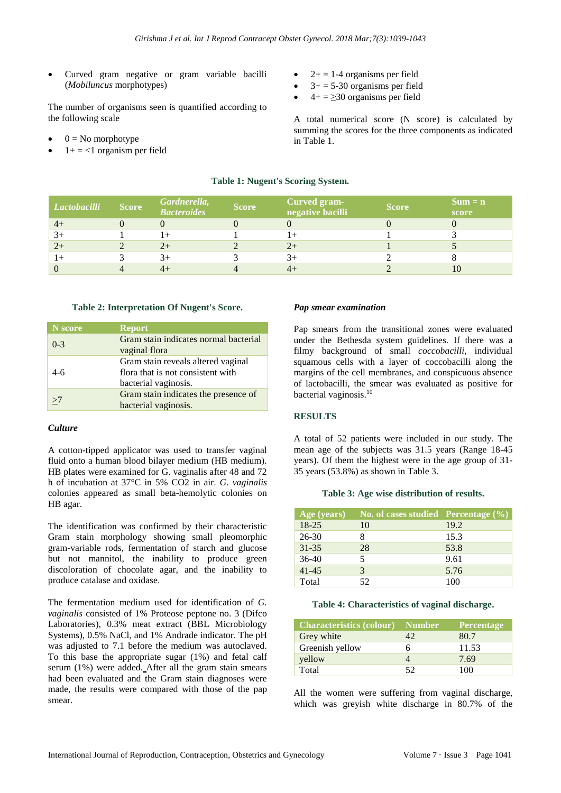• Curved gram negative or gram variable bacilli (*Mobiluncus* morphotypes)

The number of organisms seen is quantified according to the following scale

- $0 = No$  morphotype
- $1+ = <1$  organism per field
- $2+ = 1-4$  organisms per field
- $3+ = 5-30$  organisms per field
- $4+ = \geq 30$  organisms per field

A total numerical score (N score) is calculated by summing the scores for the three components as indicated in Table 1.

# **Table 1: Nugent's Scoring System.**

| Lactobacilli | <b>Score</b> | Gardnerella,<br><b>Bacteroides</b> | <b>Score</b> | <b>Curved gram-</b><br>negative bacilli | <b>Score</b> | $Sum = n$<br>score |
|--------------|--------------|------------------------------------|--------------|-----------------------------------------|--------------|--------------------|
| $4+$         |              |                                    |              |                                         |              |                    |
| $3+$         |              |                                    |              |                                         |              |                    |
| $2+$         |              | $2+$                               |              | $2+$                                    |              |                    |
| $1+$         |              |                                    |              |                                         |              |                    |
|              |              |                                    |              |                                         |              | 10                 |

#### **Table 2: Interpretation Of Nugent's Score.**

| N score | <b>Report</b>                                                                                   |
|---------|-------------------------------------------------------------------------------------------------|
| $0-3$   | Gram stain indicates normal bacterial<br>vaginal flora                                          |
| $4-6$   | Gram stain reveals altered vaginal<br>flora that is not consistent with<br>bacterial vaginosis. |
| >7      | Gram stain indicates the presence of<br>bacterial vaginosis.                                    |

#### *Culture*

A cotton-tipped applicator was used to transfer vaginal fluid onto a human blood bilayer medium (HB medium). HB plates were examined for G. vaginalis after 48 and 72 h of incubation at 37°C in 5% CO2 in air. *G. vaginalis* colonies appeared as small beta-hemolytic colonies on HB agar.

The identification was confirmed by their characteristic Gram stain morphology showing small pleomorphic gram-variable rods, fermentation of starch and glucose but not mannitol, the inability to produce green discoloration of chocolate agar, and the inability to produce catalase and oxidase.

The fermentation medium used for identification of *G. vaginalis* consisted of 1% Proteose peptone no. 3 (Difco Laboratories), 0.3% meat extract (BBL Microbiology Systems), 0.5% NaCl, and 1% Andrade indicator. The pH was adjusted to 7.1 before the medium was autoclaved. To this base the appropriate sugar (1%) and fetal calf serum (1%) were added. After all the gram stain smears had been evaluated and the Gram stain diagnoses were made, the results were compared with those of the pap smear.

# *Pap smear examination*

Pap smears from the transitional zones were evaluated under the Bethesda system guidelines. If there was a filmy background of small *coccobacilli*, individual squamous cells with a layer of coccobacilli along the margins of the cell membranes, and conspicuous absence of lactobacilli, the smear was evaluated as positive for bacterial vaginosis.<sup>10</sup>

# **RESULTS**

A total of 52 patients were included in our study. The mean age of the subjects was 31.5 years (Range 18-45 years). Of them the highest were in the age group of 31- 35 years (53.8%) as shown in Table 3.

#### **Table 3: Age wise distribution of results.**

| Age (years) | No. of cases studied Percentage $(\% )$ |      |
|-------------|-----------------------------------------|------|
| $18-25$     | 10                                      | 19.2 |
| 26-30       |                                         | 15.3 |
| $31 - 35$   | 28                                      | 53.8 |
| $36-40$     | 5                                       | 9.61 |
| $41 - 45$   |                                         | 5.76 |
| Total       | 52                                      | 100  |

#### **Table 4: Characteristics of vaginal discharge.**

| <b>Characteristics (colour)</b> | <b>Number</b> | <b>Percentage</b> |
|---------------------------------|---------------|-------------------|
| Grey white                      | 42            | 80.7              |
| Greenish yellow                 |               | 11.53             |
| yellow                          |               | 7.69              |
| Total                           | 52            | 100               |

All the women were suffering from vaginal discharge, which was greyish white discharge in 80.7% of the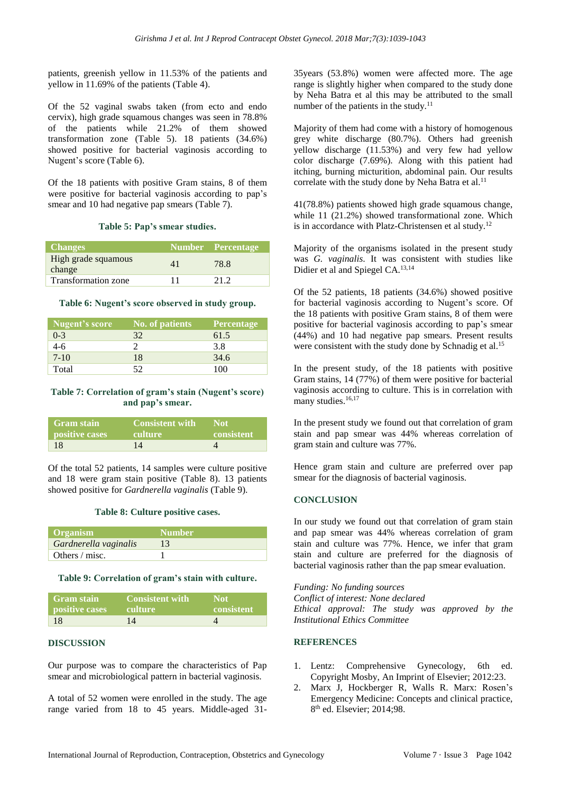patients, greenish yellow in 11.53% of the patients and yellow in 11.69% of the patients (Table 4).

Of the 52 vaginal swabs taken (from ecto and endo cervix), high grade squamous changes was seen in 78.8% of the patients while 21.2% of them showed transformation zone (Table 5). 18 patients (34.6%) showed positive for bacterial vaginosis according to Nugent's score (Table 6).

Of the 18 patients with positive Gram stains, 8 of them were positive for bacterial vaginosis according to pap's smear and 10 had negative pap smears (Table 7).

#### **Table 5: Pap's smear studies.**

| <b>Changes</b>                |    | Number Percentage |
|-------------------------------|----|-------------------|
| High grade squamous<br>change | 41 | 78.8              |
| <b>Transformation zone</b>    | 11 | 21.2              |

#### **Table 6: Nugent's score observed in study group.**

| Nugent's score | No. of patients | <b>Percentage</b> |
|----------------|-----------------|-------------------|
| $0 - 3$        | 32              | 61.5              |
| $4-6$          |                 | 3.8               |
| $7 - 10$       | 18              | 34.6              |
| Total          | 52              | 100               |

### **Table 7: Correlation of gram's stain (Nugent's score) and pap's smear.**

| <b>Gram stain</b>     | <b>Consistent with</b> | ∟Nof'      |
|-----------------------|------------------------|------------|
| <b>positive cases</b> | <b>culture</b>         | consistent |
| 18                    | $1\Lambda$             |            |

Of the total 52 patients, 14 samples were culture positive and 18 were gram stain positive (Table 8). 13 patients showed positive for *Gardnerella vaginalis* (Table 9).

#### **Table 8: Culture positive cases.**

| <b>Organism</b>       | Number! |
|-----------------------|---------|
| Gardnerella vaginalis |         |
| Others / misc.        |         |

#### **Table 9: Correlation of gram's stain with culture.**

| <b>Gram stain</b><br>positive cases | Consistent with<br>-culture - | <b>Not</b><br>consistent |
|-------------------------------------|-------------------------------|--------------------------|
|                                     |                               |                          |
| -18                                 | 14                            |                          |

# **DISCUSSION**

Our purpose was to compare the characteristics of Pap smear and microbiological pattern in bacterial vaginosis.

A total of 52 women were enrolled in the study. The age range varied from 18 to 45 years. Middle-aged 3135years (53.8%) women were affected more. The age range is slightly higher when compared to the study done by Neha Batra et al this may be attributed to the small number of the patients in the study. $11$ 

Majority of them had come with a history of homogenous grey white discharge (80.7%). Others had greenish yellow discharge (11.53%) and very few had yellow color discharge (7.69%). Along with this patient had itching, burning micturition, abdominal pain. Our results correlate with the study done by Neha Batra et al.<sup>11</sup>

41(78.8%) patients showed high grade squamous change, while 11 (21.2%) showed transformational zone. Which is in accordance with Platz-Christensen et al study.<sup>12</sup>

Majority of the organisms isolated in the present study was *G. vaginalis*. It was consistent with studies like Didier et al and Spiegel CA.13,14

Of the 52 patients, 18 patients (34.6%) showed positive for bacterial vaginosis according to Nugent's score. Of the 18 patients with positive Gram stains, 8 of them were positive for bacterial vaginosis according to pap's smear (44%) and 10 had negative pap smears. Present results were consistent with the study done by Schnadig et al.<sup>15</sup>

In the present study, of the 18 patients with positive Gram stains, 14 (77%) of them were positive for bacterial vaginosis according to culture. This is in correlation with many studies.<sup>16,17</sup>

In the present study we found out that correlation of gram stain and pap smear was 44% whereas correlation of gram stain and culture was 77%.

Hence gram stain and culture are preferred over pap smear for the diagnosis of bacterial vaginosis.

# **CONCLUSION**

In our study we found out that correlation of gram stain and pap smear was 44% whereas correlation of gram stain and culture was 77%. Hence, we infer that gram stain and culture are preferred for the diagnosis of bacterial vaginosis rather than the pap smear evaluation.

*Funding: No funding sources Conflict of interest: None declared Ethical approval: The study was approved by the Institutional Ethics Committee*

#### **REFERENCES**

- 1. Lentz: Comprehensive Gynecology, 6th ed. Copyright Mosby, An Imprint of Elsevier; 2012:23.
- 2. Marx J, Hockberger R, Walls R. Marx: Rosen's Emergency Medicine: Concepts and clinical practice, 8 th ed. Elsevier; 2014;98.